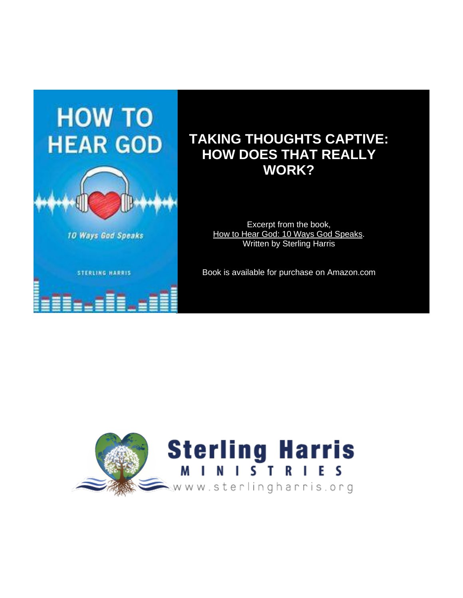

# **TAKING THOUGHTS CAPTIVE: HOW DOES THAT REALLY WORK?**

Excerpt from the book, How to Hear God: 10 Ways God Speaks. Written by Sterling Harris

Book is available for purchase on Amazon.com

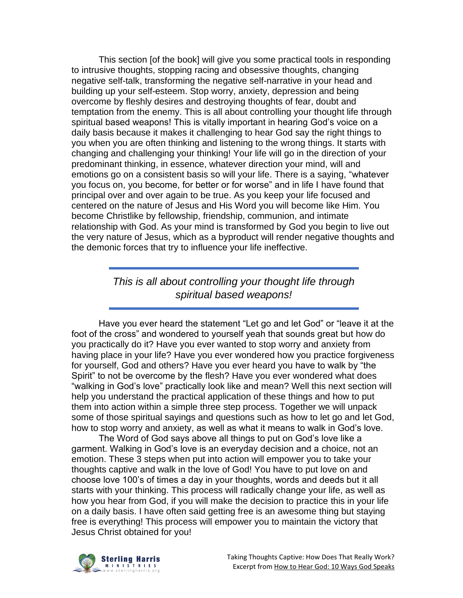This section [of the book] will give you some practical tools in responding to intrusive thoughts, stopping racing and obsessive thoughts, changing negative self-talk, transforming the negative self-narrative in your head and building up your self-esteem. Stop worry, anxiety, depression and being overcome by fleshly desires and destroying thoughts of fear, doubt and temptation from the enemy. This is all about controlling your thought life through spiritual based weapons! This is vitally important in hearing God's voice on a daily basis because it makes it challenging to hear God say the right things to you when you are often thinking and listening to the wrong things. It starts with changing and challenging your thinking! Your life will go in the direction of your predominant thinking, in essence, whatever direction your mind, will and emotions go on a consistent basis so will your life. There is a saying, "whatever you focus on, you become, for better or for worse" and in life I have found that principal over and over again to be true. As you keep your life focused and centered on the nature of Jesus and His Word you will become like Him. You become Christlike by fellowship, friendship, communion, and intimate relationship with God. As your mind is transformed by God you begin to live out the very nature of Jesus, which as a byproduct will render negative thoughts and the demonic forces that try to influence your life ineffective.

## *This is all about controlling your thought life through spiritual based weapons!*

Have you ever heard the statement "Let go and let God" or "leave it at the foot of the cross" and wondered to yourself yeah that sounds great but how do you practically do it? Have you ever wanted to stop worry and anxiety from having place in your life? Have you ever wondered how you practice forgiveness for yourself, God and others? Have you ever heard you have to walk by "the Spirit" to not be overcome by the flesh? Have you ever wondered what does "walking in God's love" practically look like and mean? Well this next section will help you understand the practical application of these things and how to put them into action within a simple three step process. Together we will unpack some of those spiritual sayings and questions such as how to let go and let God, how to stop worry and anxiety, as well as what it means to walk in God's love.

The Word of God says above all things to put on God's love like a garment. Walking in God's love is an everyday decision and a choice, not an emotion. These 3 steps when put into action will empower you to take your thoughts captive and walk in the love of God! You have to put love on and choose love 100's of times a day in your thoughts, words and deeds but it all starts with your thinking. This process will radically change your life, as well as how you hear from God, if you will make the decision to practice this in your life on a daily basis. I have often said getting free is an awesome thing but staying free is everything! This process will empower you to maintain the victory that Jesus Christ obtained for you!

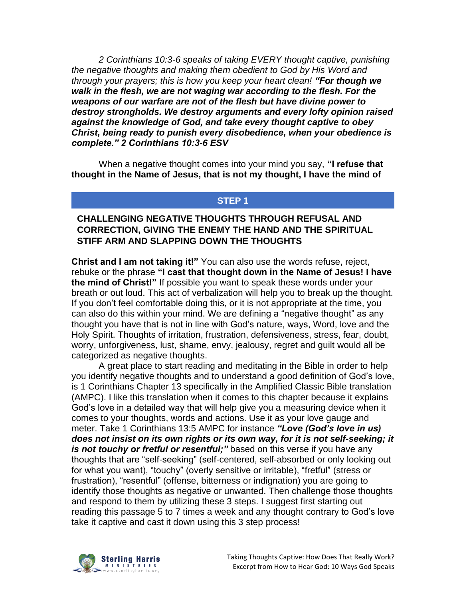*2 Corinthians 10:3-6 speaks of taking EVERY thought captive, punishing the negative thoughts and making them obedient to God by His Word and through your prayers; this is how you keep your heart clean! "For though we walk in the flesh, we are not waging war according to the flesh. For the weapons of our warfare are not of the flesh but have divine power to destroy strongholds. We destroy arguments and every lofty opinion raised against the knowledge of God, and take every thought captive to obey Christ, being ready to punish every disobedience, when your obedience is complete." 2 Corinthians 10:3-6 ESV*

When a negative thought comes into your mind you say, **"I refuse that thought in the Name of Jesus, that is not my thought, I have the mind of** 

## **STEP 1**

### **CHALLENGING NEGATIVE THOUGHTS THROUGH REFUSAL AND CORRECTION, GIVING THE ENEMY THE HAND AND THE SPIRITUAL STIFF ARM AND SLAPPING DOWN THE THOUGHTS**

**Christ and I am not taking it!"** You can also use the words refuse, reject, rebuke or the phrase **"I cast that thought down in the Name of Jesus! I have the mind of Christ!"** If possible you want to speak these words under your breath or out loud. This act of verbalization will help you to break up the thought. If you don't feel comfortable doing this, or it is not appropriate at the time, you can also do this within your mind. We are defining a "negative thought" as any thought you have that is not in line with God's nature, ways, Word, love and the Holy Spirit. Thoughts of irritation, frustration, defensiveness, stress, fear, doubt, worry, unforgiveness, lust, shame, envy, jealousy, regret and guilt would all be categorized as negative thoughts.

A great place to start reading and meditating in the Bible in order to help you identify negative thoughts and to understand a good definition of God's love, is 1 Corinthians Chapter 13 specifically in the Amplified Classic Bible translation (AMPC). I like this translation when it comes to this chapter because it explains God's love in a detailed way that will help give you a measuring device when it comes to your thoughts, words and actions. Use it as your love gauge and meter. Take 1 Corinthians 13:5 AMPC for instance *"Love (God's love in us) does not insist on its own rights or its own way, for it is not self-seeking; it is not touchy or fretful or resentful;"* based on this verse if you have any thoughts that are "self-seeking" (self-centered, self-absorbed or only looking out for what you want), "touchy" (overly sensitive or irritable), "fretful" (stress or frustration), "resentful" (offense, bitterness or indignation) you are going to identify those thoughts as negative or unwanted. Then challenge those thoughts and respond to them by utilizing these 3 steps. I suggest first starting out reading this passage 5 to 7 times a week and any thought contrary to God's love take it captive and cast it down using this 3 step process!

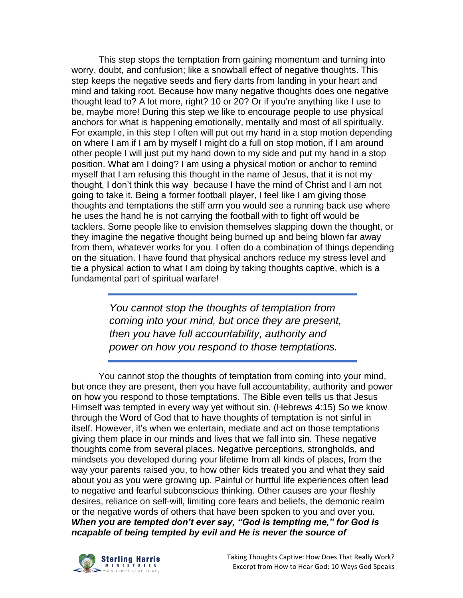This step stops the temptation from gaining momentum and turning into worry, doubt, and confusion; like a snowball effect of negative thoughts. This step keeps the negative seeds and fiery darts from landing in your heart and mind and taking root. Because how many negative thoughts does one negative thought lead to? A lot more, right? 10 or 20? Or if you're anything like I use to be, maybe more! During this step we like to encourage people to use physical anchors for what is happening emotionally, mentally and most of all spiritually. For example, in this step I often will put out my hand in a stop motion depending on where I am if I am by myself I might do a full on stop motion, if I am around other people I will just put my hand down to my side and put my hand in a stop position. What am I doing? I am using a physical motion or anchor to remind myself that I am refusing this thought in the name of Jesus, that it is not my thought, I don't think this way because I have the mind of Christ and I am not going to take it. Being a former football player, I feel like I am giving those thoughts and temptations the stiff arm you would see a running back use where he uses the hand he is not carrying the football with to fight off would be tacklers. Some people like to envision themselves slapping down the thought, or they imagine the negative thought being burned up and being blown far away from them, whatever works for you. I often do a combination of things depending on the situation. I have found that physical anchors reduce my stress level and tie a physical action to what I am doing by taking thoughts captive, which is a fundamental part of spiritual warfare!

> *You cannot stop the thoughts of temptation from coming into your mind, but once they are present, then you have full accountability, authority and power on how you respond to those temptations.*

You cannot stop the thoughts of temptation from coming into your mind, but once they are present, then you have full accountability, authority and power on how you respond to those temptations. The Bible even tells us that Jesus Himself was tempted in every way yet without sin. (Hebrews 4:15) So we know through the Word of God that to have thoughts of temptation is not sinful in itself. However, it's when we entertain, mediate and act on those temptations giving them place in our minds and lives that we fall into sin. These negative thoughts come from several places. Negative perceptions, strongholds, and mindsets you developed during your lifetime from all kinds of places, from the way your parents raised you, to how other kids treated you and what they said about you as you were growing up. Painful or hurtful life experiences often lead to negative and fearful subconscious thinking. Other causes are your fleshly desires, reliance on self-will, limiting core fears and beliefs, the demonic realm or the negative words of others that have been spoken to you and over you. *When you are tempted don't ever say, "God is tempting me," for God is ncapable of being tempted by evil and He is never the source of* 

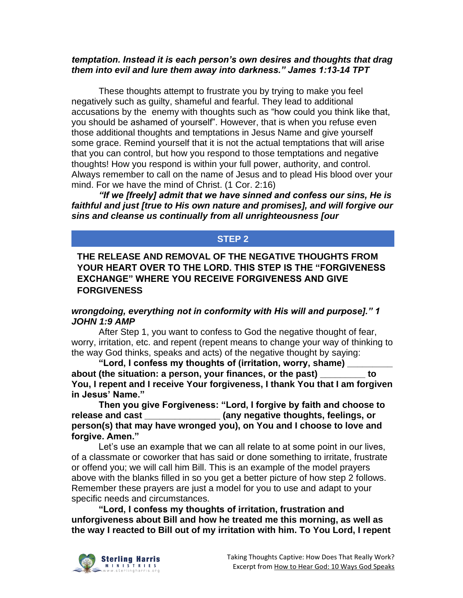#### *temptation. Instead it is each person's own desires and thoughts that drag them into evil and lure them away into darkness." James 1:13-14 TPT*

These thoughts attempt to frustrate you by trying to make you feel negatively such as guilty, shameful and fearful. They lead to additional accusations by the enemy with thoughts such as "how could you think like that, you should be ashamed of yourself". However, that is when you refuse even those additional thoughts and temptations in Jesus Name and give yourself some grace. Remind yourself that it is not the actual temptations that will arise that you can control, but how you respond to those temptations and negative thoughts! How you respond is within your full power, authority, and control. Always remember to call on the name of Jesus and to plead His blood over your mind. For we have the mind of Christ. (1 Cor. 2:16)

*"If we [freely] admit that we have sinned and confess our sins, He is faithful and just [true to His own nature and promises], and will forgive our sins and cleanse us continually from all unrighteousness [our* 

#### **STEP 2**

**THE RELEASE AND REMOVAL OF THE NEGATIVE THOUGHTS FROM YOUR HEART OVER TO THE LORD. THIS STEP IS THE "FORGIVENESS EXCHANGE" WHERE YOU RECEIVE FORGIVENESS AND GIVE FORGIVENESS**

#### *wrongdoing, everything not in conformity with His will and purpose]." 1 JOHN 1:9 AMP*

After Step 1, you want to confess to God the negative thought of fear, worry, irritation, etc. and repent (repent means to change your way of thinking to the way God thinks, speaks and acts) of the negative thought by saying:

**"Lord, I confess my thoughts of (irritation, worry, shame) \_\_\_\_\_\_\_\_\_ about (the situation: a person, your finances, or the past) \_\_\_\_\_\_\_\_\_ to You, I repent and I receive Your forgiveness, I thank You that I am forgiven in Jesus' Name."**

**Then you give Forgiveness: "Lord, I forgive by faith and choose to release and cast \_\_\_\_\_\_\_\_\_\_\_\_\_\_\_ (any negative thoughts, feelings, or person(s) that may have wronged you), on You and I choose to love and forgive. Amen."**

Let's use an example that we can all relate to at some point in our lives, of a classmate or coworker that has said or done something to irritate, frustrate or offend you; we will call him Bill. This is an example of the model prayers above with the blanks filled in so you get a better picture of how step 2 follows. Remember these prayers are just a model for you to use and adapt to your specific needs and circumstances.

**"Lord, I confess my thoughts of irritation, frustration and unforgiveness about Bill and how he treated me this morning, as well as the way I reacted to Bill out of my irritation with him. To You Lord, I repent** 

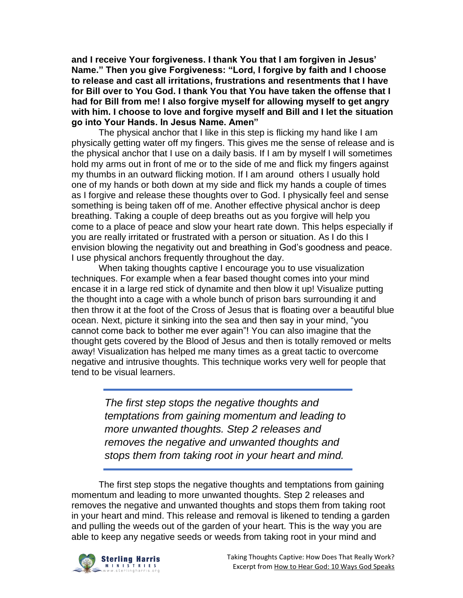**and I receive Your forgiveness. I thank You that I am forgiven in Jesus' Name." Then you give Forgiveness: "Lord, I forgive by faith and I choose to release and cast all irritations, frustrations and resentments that I have for Bill over to You God. I thank You that You have taken the offense that I had for Bill from me! I also forgive myself for allowing myself to get angry with him. I choose to love and forgive myself and Bill and I let the situation go into Your Hands. In Jesus Name. Amen"**

The physical anchor that I like in this step is flicking my hand like I am physically getting water off my fingers. This gives me the sense of release and is the physical anchor that I use on a daily basis. If I am by myself I will sometimes hold my arms out in front of me or to the side of me and flick my fingers against my thumbs in an outward flicking motion. If I am around others I usually hold one of my hands or both down at my side and flick my hands a couple of times as I forgive and release these thoughts over to God. I physically feel and sense something is being taken off of me. Another effective physical anchor is deep breathing. Taking a couple of deep breaths out as you forgive will help you come to a place of peace and slow your heart rate down. This helps especially if you are really irritated or frustrated with a person or situation. As I do this I envision blowing the negativity out and breathing in God's goodness and peace. I use physical anchors frequently throughout the day.

When taking thoughts captive I encourage you to use visualization techniques. For example when a fear based thought comes into your mind encase it in a large red stick of dynamite and then blow it up! Visualize putting the thought into a cage with a whole bunch of prison bars surrounding it and then throw it at the foot of the Cross of Jesus that is floating over a beautiful blue ocean. Next, picture it sinking into the sea and then say in your mind, "you cannot come back to bother me ever again"! You can also imagine that the thought gets covered by the Blood of Jesus and then is totally removed or melts away! Visualization has helped me many times as a great tactic to overcome negative and intrusive thoughts. This technique works very well for people that tend to be visual learners.

> *The first step stops the negative thoughts and temptations from gaining momentum and leading to more unwanted thoughts. Step 2 releases and removes the negative and unwanted thoughts and stops them from taking root in your heart and mind.*

The first step stops the negative thoughts and temptations from gaining momentum and leading to more unwanted thoughts. Step 2 releases and removes the negative and unwanted thoughts and stops them from taking root in your heart and mind. This release and removal is likened to tending a garden and pulling the weeds out of the garden of your heart. This is the way you are able to keep any negative seeds or weeds from taking root in your mind and

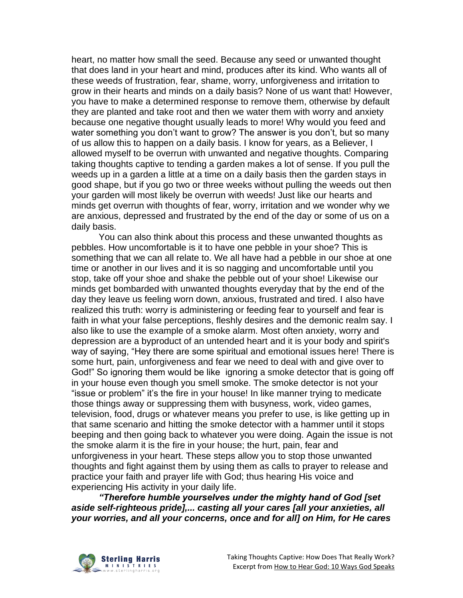heart, no matter how small the seed. Because any seed or unwanted thought that does land in your heart and mind, produces after its kind. Who wants all of these weeds of frustration, fear, shame, worry, unforgiveness and irritation to grow in their hearts and minds on a daily basis? None of us want that! However, you have to make a determined response to remove them, otherwise by default they are planted and take root and then we water them with worry and anxiety because one negative thought usually leads to more! Why would you feed and water something you don't want to grow? The answer is you don't, but so many of us allow this to happen on a daily basis. I know for years, as a Believer, I allowed myself to be overrun with unwanted and negative thoughts. Comparing taking thoughts captive to tending a garden makes a lot of sense. If you pull the weeds up in a garden a little at a time on a daily basis then the garden stays in good shape, but if you go two or three weeks without pulling the weeds out then your garden will most likely be overrun with weeds! Just like our hearts and minds get overrun with thoughts of fear, worry, irritation and we wonder why we are anxious, depressed and frustrated by the end of the day or some of us on a daily basis.

You can also think about this process and these unwanted thoughts as pebbles. How uncomfortable is it to have one pebble in your shoe? This is something that we can all relate to. We all have had a pebble in our shoe at one time or another in our lives and it is so nagging and uncomfortable until you stop, take off your shoe and shake the pebble out of your shoe! Likewise our minds get bombarded with unwanted thoughts everyday that by the end of the day they leave us feeling worn down, anxious, frustrated and tired. I also have realized this truth: worry is administering or feeding fear to yourself and fear is faith in what your false perceptions, fleshly desires and the demonic realm say. I also like to use the example of a smoke alarm. Most often anxiety, worry and depression are a byproduct of an untended heart and it is your body and spirit's way of saying, "Hey there are some spiritual and emotional issues here! There is some hurt, pain, unforgiveness and fear we need to deal with and give over to God!" So ignoring them would be like ignoring a smoke detector that is going off in your house even though you smell smoke. The smoke detector is not your "issue or problem" it's the fire in your house! In like manner trying to medicate those things away or suppressing them with busyness, work, video games, television, food, drugs or whatever means you prefer to use, is like getting up in that same scenario and hitting the smoke detector with a hammer until it stops beeping and then going back to whatever you were doing. Again the issue is not the smoke alarm it is the fire in your house; the hurt, pain, fear and unforgiveness in your heart. These steps allow you to stop those unwanted thoughts and fight against them by using them as calls to prayer to release and practice your faith and prayer life with God; thus hearing His voice and experiencing His activity in your daily life.

*"Therefore humble yourselves under the mighty hand of God [set aside self-righteous pride],... casting all your cares [all your anxieties, all your worries, and all your concerns, once and for all] on Him, for He cares* 

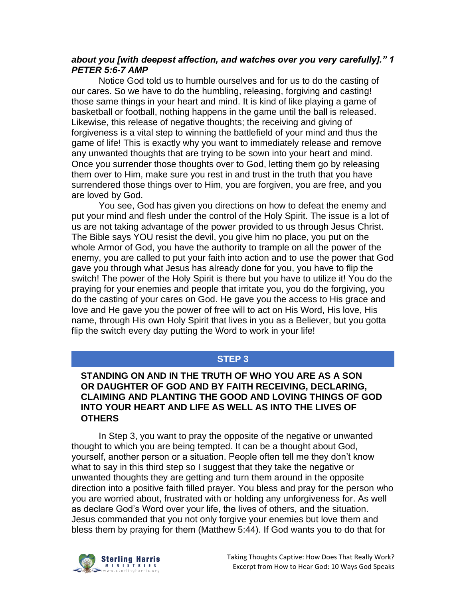#### *about you [with deepest affection, and watches over you very carefully]." 1 PETER 5:6-7 AMP*

Notice God told us to humble ourselves and for us to do the casting of our cares. So we have to do the humbling, releasing, forgiving and casting! those same things in your heart and mind. It is kind of like playing a game of basketball or football, nothing happens in the game until the ball is released. Likewise, this release of negative thoughts; the receiving and giving of forgiveness is a vital step to winning the battlefield of your mind and thus the game of life! This is exactly why you want to immediately release and remove any unwanted thoughts that are trying to be sown into your heart and mind. Once you surrender those thoughts over to God, letting them go by releasing them over to Him, make sure you rest in and trust in the truth that you have surrendered those things over to Him, you are forgiven, you are free, and you are loved by God.

You see, God has given you directions on how to defeat the enemy and put your mind and flesh under the control of the Holy Spirit. The issue is a lot of us are not taking advantage of the power provided to us through Jesus Christ. The Bible says YOU resist the devil, you give him no place, you put on the whole Armor of God, you have the authority to trample on all the power of the enemy, you are called to put your faith into action and to use the power that God gave you through what Jesus has already done for you, you have to flip the switch! The power of the Holy Spirit is there but you have to utilize it! You do the praying for your enemies and people that irritate you, you do the forgiving, you do the casting of your cares on God. He gave you the access to His grace and love and He gave you the power of free will to act on His Word, His love, His name, through His own Holy Spirit that lives in you as a Believer, but you gotta flip the switch every day putting the Word to work in your life!

#### **STEP 3**

#### **STANDING ON AND IN THE TRUTH OF WHO YOU ARE AS A SON OR DAUGHTER OF GOD AND BY FAITH RECEIVING, DECLARING, CLAIMING AND PLANTING THE GOOD AND LOVING THINGS OF GOD INTO YOUR HEART AND LIFE AS WELL AS INTO THE LIVES OF OTHERS**

In Step 3, you want to pray the opposite of the negative or unwanted thought to which you are being tempted. It can be a thought about God, yourself, another person or a situation. People often tell me they don't know what to say in this third step so I suggest that they take the negative or unwanted thoughts they are getting and turn them around in the opposite direction into a positive faith filled prayer. You bless and pray for the person who you are worried about, frustrated with or holding any unforgiveness for. As well as declare God's Word over your life, the lives of others, and the situation. Jesus commanded that you not only forgive your enemies but love them and bless them by praying for them (Matthew 5:44). If God wants you to do that for

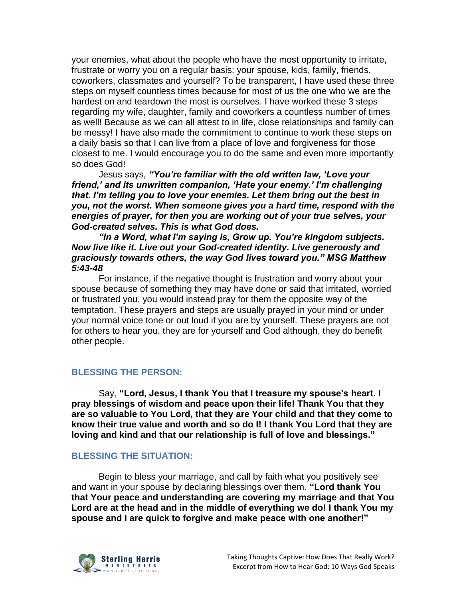your enemies, what about the people who have the most opportunity to irritate, frustrate or worry you on a regular basis: your spouse, kids, family, friends, coworkers, classmates and yourself? To be transparent, I have used these three steps on myself countless times because for most of us the one who we are the hardest on and teardown the most is ourselves. I have worked these 3 steps regarding my wife, daughter, family and coworkers a countless number of times as well! Because as we can all attest to in life, close relationships and family can be messy! I have also made the commitment to continue to work these steps on a daily basis so that I can live from a place of love and forgiveness for those closest to me. I would encourage you to do the same and even more importantly so does God!

Jesus says, *"You're familiar with the old written law, 'Love your friend,' and its unwritten companion, 'Hate your enemy.' I'm challenging that. I'm telling you to love your enemies. Let them bring out the best in you, not the worst. When someone gives you a hard time, respond with the energies of prayer, for then you are working out of your true selves, your God-created selves. This is what God does.*

*"In a Word, what I'm saying is, Grow up. You're kingdom subjects. Now live like it. Live out your God-created identity. Live generously and graciously towards others, the way God lives toward you." MSG Matthew 5:43-48*

For instance, if the negative thought is frustration and worry about your spouse because of something they may have done or said that irritated, worried or frustrated you, you would instead pray for them the opposite way of the temptation. These prayers and steps are usually prayed in your mind or under your normal voice tone or out loud if you are by yourself. These prayers are not for others to hear you, they are for yourself and God although, they do benefit other people.

#### **BLESSING THE PERSON:**

Say, **"Lord, Jesus, I thank You that I treasure my spouse's heart. I pray blessings of wisdom and peace upon their life! Thank You that they are so valuable to You Lord, that they are Your child and that they come to know their true value and worth and so do I! I thank You Lord that they are loving and kind and that our relationship is full of love and blessings."**

#### **BLESSING THE SITUATION:**

Begin to bless your marriage, and call by faith what you positively see and want in your spouse by declaring blessings over them. **"Lord thank You that Your peace and understanding are covering my marriage and that You Lord are at the head and in the middle of everything we do! I thank You my spouse and I are quick to forgive and make peace with one another!"**

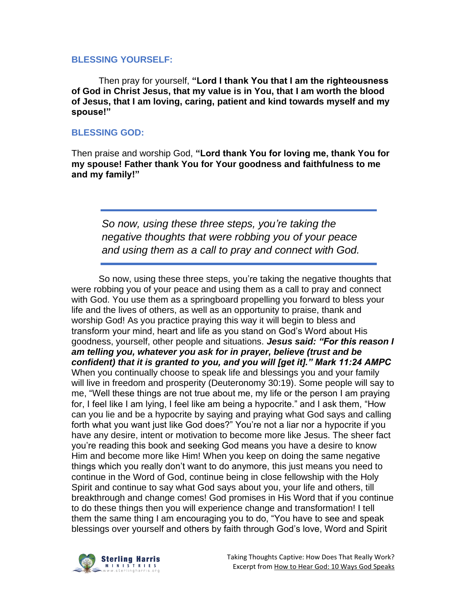#### **BLESSING YOURSELF:**

Then pray for yourself, **"Lord I thank You that I am the righteousness of God in Christ Jesus, that my value is in You, that I am worth the blood of Jesus, that I am loving, caring, patient and kind towards myself and my spouse!"**

#### **BLESSING GOD:**

Then praise and worship God, **"Lord thank You for loving me, thank You for my spouse! Father thank You for Your goodness and faithfulness to me and my family!"**

*So now, using these three steps, you're taking the negative thoughts that were robbing you of your peace and using them as a call to pray and connect with God.*

So now, using these three steps, you're taking the negative thoughts that were robbing you of your peace and using them as a call to pray and connect with God. You use them as a springboard propelling you forward to bless your life and the lives of others, as well as an opportunity to praise, thank and worship God! As you practice praying this way it will begin to bless and transform your mind, heart and life as you stand on God's Word about His goodness, yourself, other people and situations. *Jesus said: "For this reason I am telling you, whatever you ask for in prayer, believe (trust and be confident) that it is granted to you, and you will [get it]." Mark 11:24 AMPC*  When you continually choose to speak life and blessings you and your family will live in freedom and prosperity (Deuteronomy 30:19). Some people will say to me, "Well these things are not true about me, my life or the person I am praying for, I feel like I am lying, I feel like am being a hypocrite." and I ask them, "How can you lie and be a hypocrite by saying and praying what God says and calling forth what you want just like God does?" You're not a liar nor a hypocrite if you have any desire, intent or motivation to become more like Jesus. The sheer fact you're reading this book and seeking God means you have a desire to know Him and become more like Him! When you keep on doing the same negative things which you really don't want to do anymore, this just means you need to continue in the Word of God, continue being in close fellowship with the Holy Spirit and continue to say what God says about you, your life and others, till breakthrough and change comes! God promises in His Word that if you continue to do these things then you will experience change and transformation! I tell them the same thing I am encouraging you to do, "You have to see and speak blessings over yourself and others by faith through God's love, Word and Spirit

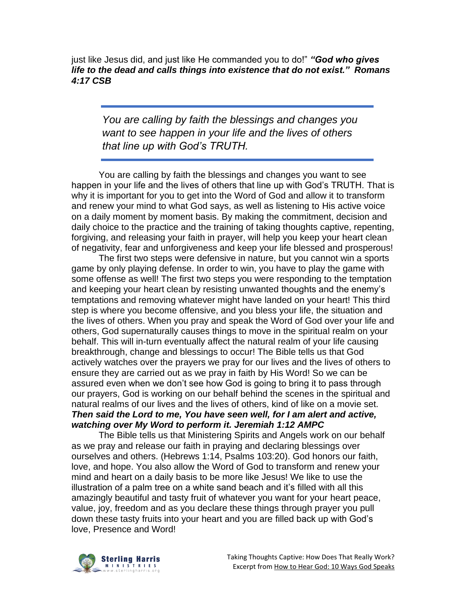just like Jesus did, and just like He commanded you to do!" *"God who gives life to the dead and calls things into existence that do not exist." Romans 4:17 CSB*

*You are calling by faith the blessings and changes you want to see happen in your life and the lives of others that line up with God's TRUTH.*

You are calling by faith the blessings and changes you want to see happen in your life and the lives of others that line up with God's TRUTH. That is why it is important for you to get into the Word of God and allow it to transform and renew your mind to what God says, as well as listening to His active voice on a daily moment by moment basis. By making the commitment, decision and daily choice to the practice and the training of taking thoughts captive, repenting, forgiving, and releasing your faith in prayer, will help you keep your heart clean of negativity, fear and unforgiveness and keep your life blessed and prosperous!

The first two steps were defensive in nature, but you cannot win a sports game by only playing defense. In order to win, you have to play the game with some offense as well! The first two steps you were responding to the temptation and keeping your heart clean by resisting unwanted thoughts and the enemy's temptations and removing whatever might have landed on your heart! This third step is where you become offensive, and you bless your life, the situation and the lives of others. When you pray and speak the Word of God over your life and others, God supernaturally causes things to move in the spiritual realm on your behalf. This will in-turn eventually affect the natural realm of your life causing breakthrough, change and blessings to occur! The Bible tells us that God actively watches over the prayers we pray for our lives and the lives of others to ensure they are carried out as we pray in faith by His Word! So we can be assured even when we don't see how God is going to bring it to pass through our prayers, God is working on our behalf behind the scenes in the spiritual and natural realms of our lives and the lives of others, kind of like on a movie set. *Then said the Lord to me, You have seen well, for I am alert and active, watching over My Word to perform it. Jeremiah 1:12 AMPC*

The Bible tells us that Ministering Spirits and Angels work on our behalf as we pray and release our faith in praying and declaring blessings over ourselves and others. (Hebrews 1:14, Psalms 103:20). God honors our faith, love, and hope. You also allow the Word of God to transform and renew your mind and heart on a daily basis to be more like Jesus! We like to use the illustration of a palm tree on a white sand beach and it's filled with all this amazingly beautiful and tasty fruit of whatever you want for your heart peace, value, joy, freedom and as you declare these things through prayer you pull down these tasty fruits into your heart and you are filled back up with God's love, Presence and Word!

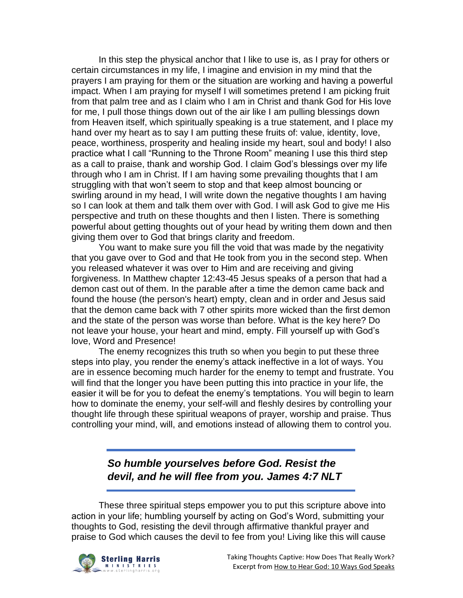In this step the physical anchor that I like to use is, as I pray for others or certain circumstances in my life, I imagine and envision in my mind that the prayers I am praying for them or the situation are working and having a powerful impact. When I am praying for myself I will sometimes pretend I am picking fruit from that palm tree and as I claim who I am in Christ and thank God for His love for me, I pull those things down out of the air like I am pulling blessings down from Heaven itself, which spiritually speaking is a true statement, and I place my hand over my heart as to say I am putting these fruits of: value, identity, love, peace, worthiness, prosperity and healing inside my heart, soul and body! I also practice what I call "Running to the Throne Room" meaning I use this third step as a call to praise, thank and worship God. I claim God's blessings over my life through who I am in Christ. If I am having some prevailing thoughts that I am struggling with that won't seem to stop and that keep almost bouncing or swirling around in my head, I will write down the negative thoughts I am having so I can look at them and talk them over with God. I will ask God to give me His perspective and truth on these thoughts and then I listen. There is something powerful about getting thoughts out of your head by writing them down and then giving them over to God that brings clarity and freedom.

You want to make sure you fill the void that was made by the negativity that you gave over to God and that He took from you in the second step. When you released whatever it was over to Him and are receiving and giving forgiveness. In Matthew chapter 12:43-45 Jesus speaks of a person that had a demon cast out of them. In the parable after a time the demon came back and found the house (the person's heart) empty, clean and in order and Jesus said that the demon came back with 7 other spirits more wicked than the first demon and the state of the person was worse than before. What is the key here? Do not leave your house, your heart and mind, empty. Fill yourself up with God's love, Word and Presence!

The enemy recognizes this truth so when you begin to put these three steps into play, you render the enemy's attack ineffective in a lot of ways. You are in essence becoming much harder for the enemy to tempt and frustrate. You will find that the longer you have been putting this into practice in your life, the easier it will be for you to defeat the enemy's temptations. You will begin to learn how to dominate the enemy, your self-will and fleshly desires by controlling your thought life through these spiritual weapons of prayer, worship and praise. Thus controlling your mind, will, and emotions instead of allowing them to control you.

> *So humble yourselves before God. Resist the devil, and he will flee from you. James 4:7 NLT*

These three spiritual steps empower you to put this scripture above into action in your life; humbling yourself by acting on God's Word, submitting your thoughts to God, resisting the devil through affirmative thankful prayer and praise to God which causes the devil to fee from you! Living like this will cause

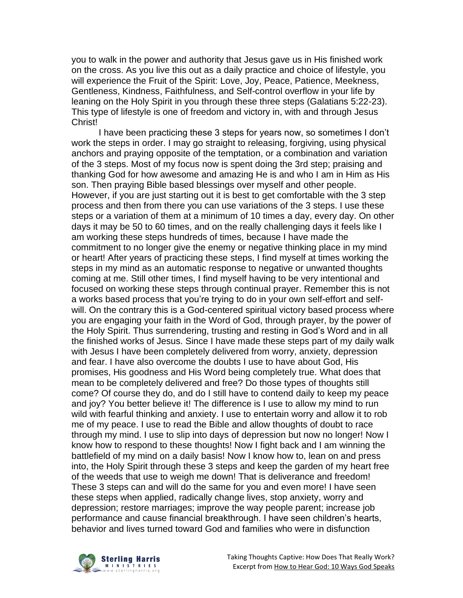you to walk in the power and authority that Jesus gave us in His finished work on the cross. As you live this out as a daily practice and choice of lifestyle, you will experience the Fruit of the Spirit: Love, Joy, Peace, Patience, Meekness, Gentleness, Kindness, Faithfulness, and Self-control overflow in your life by leaning on the Holy Spirit in you through these three steps (Galatians 5:22-23). This type of lifestyle is one of freedom and victory in, with and through Jesus Christ!

I have been practicing these 3 steps for years now, so sometimes I don't work the steps in order. I may go straight to releasing, forgiving, using physical anchors and praying opposite of the temptation, or a combination and variation of the 3 steps. Most of my focus now is spent doing the 3rd step; praising and thanking God for how awesome and amazing He is and who I am in Him as His son. Then praying Bible based blessings over myself and other people. However, if you are just starting out it is best to get comfortable with the 3 step process and then from there you can use variations of the 3 steps. I use these steps or a variation of them at a minimum of 10 times a day, every day. On other days it may be 50 to 60 times, and on the really challenging days it feels like I am working these steps hundreds of times, because I have made the commitment to no longer give the enemy or negative thinking place in my mind or heart! After years of practicing these steps, I find myself at times working the steps in my mind as an automatic response to negative or unwanted thoughts coming at me. Still other times, I find myself having to be very intentional and focused on working these steps through continual prayer. Remember this is not a works based process that you're trying to do in your own self-effort and selfwill. On the contrary this is a God-centered spiritual victory based process where you are engaging your faith in the Word of God, through prayer, by the power of the Holy Spirit. Thus surrendering, trusting and resting in God's Word and in all the finished works of Jesus. Since I have made these steps part of my daily walk with Jesus I have been completely delivered from worry, anxiety, depression and fear. I have also overcome the doubts I use to have about God, His promises, His goodness and His Word being completely true. What does that mean to be completely delivered and free? Do those types of thoughts still come? Of course they do, and do I still have to contend daily to keep my peace and joy? You better believe it! The difference is I use to allow my mind to run wild with fearful thinking and anxiety. I use to entertain worry and allow it to rob me of my peace. I use to read the Bible and allow thoughts of doubt to race through my mind. I use to slip into days of depression but now no longer! Now I know how to respond to these thoughts! Now I fight back and I am winning the battlefield of my mind on a daily basis! Now I know how to, lean on and press into, the Holy Spirit through these 3 steps and keep the garden of my heart free of the weeds that use to weigh me down! That is deliverance and freedom! These 3 steps can and will do the same for you and even more! I have seen these steps when applied, radically change lives, stop anxiety, worry and depression; restore marriages; improve the way people parent; increase job performance and cause financial breakthrough. I have seen children's hearts, behavior and lives turned toward God and families who were in disfunction

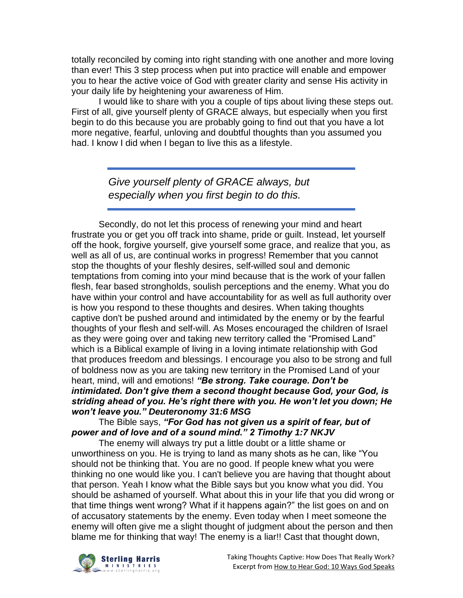totally reconciled by coming into right standing with one another and more loving than ever! This 3 step process when put into practice will enable and empower you to hear the active voice of God with greater clarity and sense His activity in your daily life by heightening your awareness of Him.

I would like to share with you a couple of tips about living these steps out. First of all, give yourself plenty of GRACE always, but especially when you first begin to do this because you are probably going to find out that you have a lot more negative, fearful, unloving and doubtful thoughts than you assumed you had. I know I did when I began to live this as a lifestyle.

> *Give yourself plenty of GRACE always, but especially when you first begin to do this.*

Secondly, do not let this process of renewing your mind and heart frustrate you or get you off track into shame, pride or guilt. Instead, let yourself off the hook, forgive yourself, give yourself some grace, and realize that you, as well as all of us, are continual works in progress! Remember that you cannot stop the thoughts of your fleshly desires, self-willed soul and demonic temptations from coming into your mind because that is the work of your fallen flesh, fear based strongholds, soulish perceptions and the enemy. What you do have within your control and have accountability for as well as full authority over is how you respond to these thoughts and desires. When taking thoughts captive don't be pushed around and intimidated by the enemy or by the fearful thoughts of your flesh and self-will. As Moses encouraged the children of Israel as they were going over and taking new territory called the "Promised Land" which is a Biblical example of living in a loving intimate relationship with God that produces freedom and blessings. I encourage you also to be strong and full of boldness now as you are taking new territory in the Promised Land of your heart, mind, will and emotions! *"Be strong. Take courage. Don't be intimidated. Don't give them a second thought because God, your God, is striding ahead of you. He's right there with you. He won't let you down; He won't leave you." Deuteronomy 31:6 MSG*

## The Bible says, *"For God has not given us a spirit of fear, but of power and of love and of a sound mind." 2 Timothy 1:7 NKJV*

The enemy will always try put a little doubt or a little shame or unworthiness on you. He is trying to land as many shots as he can, like "You should not be thinking that. You are no good. If people knew what you were thinking no one would like you. I can't believe you are having that thought about that person. Yeah I know what the Bible says but you know what you did. You should be ashamed of yourself. What about this in your life that you did wrong or that time things went wrong? What if it happens again?" the list goes on and on of accusatory statements by the enemy. Even today when I meet someone the enemy will often give me a slight thought of judgment about the person and then blame me for thinking that way! The enemy is a liar!! Cast that thought down,

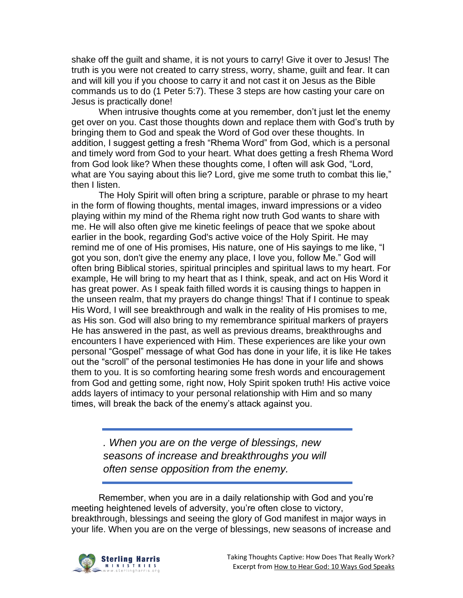shake off the guilt and shame, it is not yours to carry! Give it over to Jesus! The truth is you were not created to carry stress, worry, shame, guilt and fear. It can and will kill you if you choose to carry it and not cast it on Jesus as the Bible commands us to do (1 Peter 5:7). These 3 steps are how casting your care on Jesus is practically done!

When intrusive thoughts come at you remember, don't just let the enemy get over on you. Cast those thoughts down and replace them with God's truth by bringing them to God and speak the Word of God over these thoughts. In addition, I suggest getting a fresh "Rhema Word" from God, which is a personal and timely word from God to your heart. What does getting a fresh Rhema Word from God look like? When these thoughts come, I often will ask God, "Lord, what are You saying about this lie? Lord, give me some truth to combat this lie," then I listen.

The Holy Spirit will often bring a scripture, parable or phrase to my heart in the form of flowing thoughts, mental images, inward impressions or a video playing within my mind of the Rhema right now truth God wants to share with me. He will also often give me kinetic feelings of peace that we spoke about earlier in the book, regarding God's active voice of the Holy Spirit. He may remind me of one of His promises, His nature, one of His sayings to me like, "I got you son, don't give the enemy any place, I love you, follow Me." God will often bring Biblical stories, spiritual principles and spiritual laws to my heart. For example, He will bring to my heart that as I think, speak, and act on His Word it has great power. As I speak faith filled words it is causing things to happen in the unseen realm, that my prayers do change things! That if I continue to speak His Word, I will see breakthrough and walk in the reality of His promises to me, as His son. God will also bring to my remembrance spiritual markers of prayers He has answered in the past, as well as previous dreams, breakthroughs and encounters I have experienced with Him. These experiences are like your own personal "Gospel" message of what God has done in your life, it is like He takes out the "scroll" of the personal testimonies He has done in your life and shows them to you. It is so comforting hearing some fresh words and encouragement from God and getting some, right now, Holy Spirit spoken truth! His active voice adds layers of intimacy to your personal relationship with Him and so many times, will break the back of the enemy's attack against you.

*. When you are on the verge of blessings, new seasons of increase and breakthroughs you will often sense opposition from the enemy.*

Remember, when you are in a daily relationship with God and you're meeting heightened levels of adversity, you're often close to victory, breakthrough, blessings and seeing the glory of God manifest in major ways in your life. When you are on the verge of blessings, new seasons of increase and

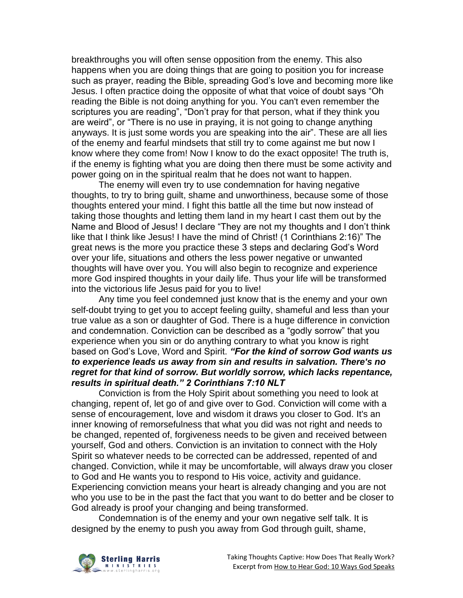breakthroughs you will often sense opposition from the enemy. This also happens when you are doing things that are going to position you for increase such as prayer, reading the Bible, spreading God's love and becoming more like Jesus. I often practice doing the opposite of what that voice of doubt says "Oh reading the Bible is not doing anything for you. You can't even remember the scriptures you are reading", "Don't pray for that person, what if they think you are weird", or "There is no use in praying, it is not going to change anything anyways. It is just some words you are speaking into the air". These are all lies of the enemy and fearful mindsets that still try to come against me but now I know where they come from! Now I know to do the exact opposite! The truth is, if the enemy is fighting what you are doing then there must be some activity and power going on in the spiritual realm that he does not want to happen.

The enemy will even try to use condemnation for having negative thoughts, to try to bring guilt, shame and unworthiness, because some of those thoughts entered your mind. I fight this battle all the time but now instead of taking those thoughts and letting them land in my heart I cast them out by the Name and Blood of Jesus! I declare "They are not my thoughts and I don't think like that I think like Jesus! I have the mind of Christ! (1 Corinthians 2:16)" The great news is the more you practice these 3 steps and declaring God's Word over your life, situations and others the less power negative or unwanted thoughts will have over you. You will also begin to recognize and experience more God inspired thoughts in your daily life. Thus your life will be transformed into the victorious life Jesus paid for you to live!

Any time you feel condemned just know that is the enemy and your own self-doubt trying to get you to accept feeling guilty, shameful and less than your true value as a son or daughter of God. There is a huge difference in conviction and condemnation. Conviction can be described as a "godly sorrow" that you experience when you sin or do anything contrary to what you know is right based on God's Love, Word and Spirit. *"For the kind of sorrow God wants us to experience leads us away from sin and results in salvation. There's no regret for that kind of sorrow. But worldly sorrow, which lacks repentance, results in spiritual death." 2 Corinthians 7:10 NLT*

Conviction is from the Holy Spirit about something you need to look at changing, repent of, let go of and give over to God. Conviction will come with a sense of encouragement, love and wisdom it draws you closer to God. It's an inner knowing of remorsefulness that what you did was not right and needs to be changed, repented of, forgiveness needs to be given and received between yourself, God and others. Conviction is an invitation to connect with the Holy Spirit so whatever needs to be corrected can be addressed, repented of and changed. Conviction, while it may be uncomfortable, will always draw you closer to God and He wants you to respond to His voice, activity and guidance. Experiencing conviction means your heart is already changing and you are not who you use to be in the past the fact that you want to do better and be closer to God already is proof your changing and being transformed.

Condemnation is of the enemy and your own negative self talk. It is designed by the enemy to push you away from God through guilt, shame,

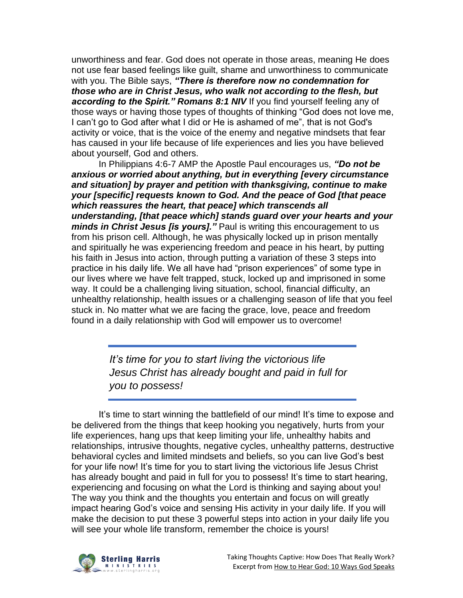unworthiness and fear. God does not operate in those areas, meaning He does not use fear based feelings like guilt, shame and unworthiness to communicate with you. The Bible says, *"There is therefore now no condemnation for those who are in Christ Jesus, who walk not according to the flesh, but according to the Spirit." Romans 8:1 NIV* If you find yourself feeling any of those ways or having those types of thoughts of thinking "God does not love me, I can't go to God after what I did or He is ashamed of me", that is not God's activity or voice, that is the voice of the enemy and negative mindsets that fear has caused in your life because of life experiences and lies you have believed about yourself, God and others.

In Philippians 4:6-7 AMP the Apostle Paul encourages us, *"Do not be anxious or worried about anything, but in everything [every circumstance and situation] by prayer and petition with thanksgiving, continue to make your [specific] requests known to God. And the peace of God [that peace which reassures the heart, that peace] which transcends all understanding, [that peace which] stands guard over your hearts and your minds in Christ Jesus [is yours]."* Paul is writing this encouragement to us from his prison cell. Although, he was physically locked up in prison mentally and spiritually he was experiencing freedom and peace in his heart, by putting his faith in Jesus into action, through putting a variation of these 3 steps into practice in his daily life. We all have had "prison experiences" of some type in our lives where we have felt trapped, stuck, locked up and imprisoned in some way. It could be a challenging living situation, school, financial difficulty, an unhealthy relationship, health issues or a challenging season of life that you feel stuck in. No matter what we are facing the grace, love, peace and freedom found in a daily relationship with God will empower us to overcome!

> *It's time for you to start living the victorious life Jesus Christ has already bought and paid in full for you to possess!*

It's time to start winning the battlefield of our mind! It's time to expose and be delivered from the things that keep hooking you negatively, hurts from your life experiences, hang ups that keep limiting your life, unhealthy habits and relationships, intrusive thoughts, negative cycles, unhealthy patterns, destructive behavioral cycles and limited mindsets and beliefs, so you can live God's best for your life now! It's time for you to start living the victorious life Jesus Christ has already bought and paid in full for you to possess! It's time to start hearing, experiencing and focusing on what the Lord is thinking and saying about you! The way you think and the thoughts you entertain and focus on will greatly impact hearing God's voice and sensing His activity in your daily life. If you will make the decision to put these 3 powerful steps into action in your daily life you will see your whole life transform, remember the choice is yours!